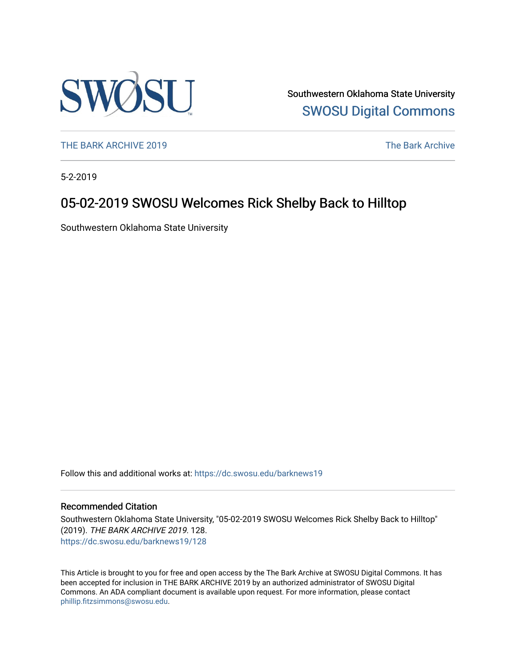

Southwestern Oklahoma State University [SWOSU Digital Commons](https://dc.swosu.edu/) 

[THE BARK ARCHIVE 2019](https://dc.swosu.edu/barknews19) The Bark Archive

5-2-2019

# 05-02-2019 SWOSU Welcomes Rick Shelby Back to Hilltop

Southwestern Oklahoma State University

Follow this and additional works at: [https://dc.swosu.edu/barknews19](https://dc.swosu.edu/barknews19?utm_source=dc.swosu.edu%2Fbarknews19%2F128&utm_medium=PDF&utm_campaign=PDFCoverPages)

#### Recommended Citation

Southwestern Oklahoma State University, "05-02-2019 SWOSU Welcomes Rick Shelby Back to Hilltop" (2019). THE BARK ARCHIVE 2019. 128. [https://dc.swosu.edu/barknews19/128](https://dc.swosu.edu/barknews19/128?utm_source=dc.swosu.edu%2Fbarknews19%2F128&utm_medium=PDF&utm_campaign=PDFCoverPages)

This Article is brought to you for free and open access by the The Bark Archive at SWOSU Digital Commons. It has been accepted for inclusion in THE BARK ARCHIVE 2019 by an authorized administrator of SWOSU Digital Commons. An ADA compliant document is available upon request. For more information, please contact [phillip.fitzsimmons@swosu.edu](mailto:phillip.fitzsimmons@swosu.edu).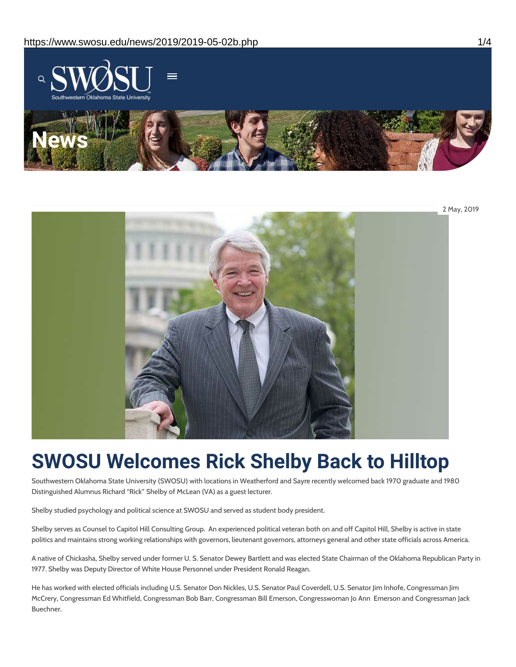



# **SWOSU Welcomes Rick Shelby Back to Hilltop**

Southwestern Oklahoma State University (SWOSU) with locations in Weatherford and Sayre recently welcomed back 1970 graduate and 1980 Distinguished Alumnus Richard "Rick" Shelby of McLean (VA) as a guest lecturer.

Shelby studied psychology and political science at SWOSU and served as student body president.

Shelby serves as Counsel to Capitol Hill Consulting Group. An experienced political veteran both on and off Capitol Hill, Shelby is active in state politics and maintains strong working relationships with governors, lieutenant governors, attorneys general and other state officials across America.

A native of Chickasha, Shelby served under former U. S. Senator Dewey Bartlett and was elected State Chairman of the Oklahoma Republican Party in 1977. Shelby was Deputy Director of White House Personnel under President Ronald Reagan.

He has worked with elected officials including U.S. Senator Don Nickles, U.S. Senator Paul Coverdell, U.S. Senator Jim Inhofe, Congressman Jim McCrery, Congressman Ed Whitfield, Congressman Bob Barr, Congressman Bill Emerson, Congresswoman Jo Ann Emerson and Congressman Jack Buechner.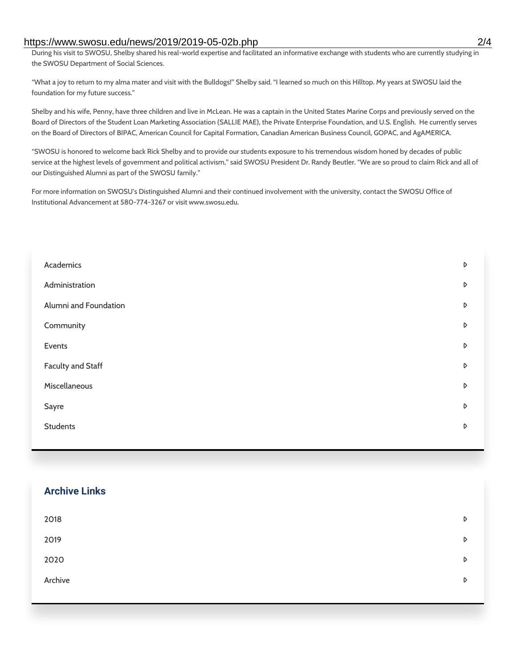#### https://www.swosu.edu/news/2019/2019-05-02b.php 2/4

During his visit to SWOSU, Shelby shared his real-world expertise and facilitated an informative exchange with students who are currently studying in the SWOSU Department of Social Sciences.

"What a joy to return to my alma mater and visit with the Bulldogs!" Shelby said. "I learned so much on this Hilltop. My years at SWOSU laid the foundation for my future success."

Shelby and his wife, Penny, have three children and live in McLean. He was a captain in the United States Marine Corps and previously served on the Board of Directors of the Student Loan Marketing Association (SALLIE MAE), the Private Enterprise Foundation, and U.S. English. He currently serves on the Board of Directors of BIPAC, American Council for Capital Formation, Canadian American Business Council, GOPAC, and AgAMERICA.

"SWOSU is honored to welcome back Rick Shelby and to provide our students exposure to his tremendous wisdom honed by decades of public service at the highest levels of government and political activism," said SWOSU President Dr. Randy Beutler. "We are so proud to claim Rick and all of our Distinguished Alumni as part of the SWOSU family."

For more information on SWOSU's Distinguished Alumni and their continued involvement with the university, contact the SWOSU Office of Institutional Advancement at 580-774-3267 or visit www.swosu.edu.

| Academics             | $\triangleright$ |
|-----------------------|------------------|
| Administration        | D                |
| Alumni and Foundation | $\triangleright$ |
| Community             | D                |
| Events                | D                |
| Faculty and Staff     | D                |
| Miscellaneous         | $\triangleright$ |
| Sayre                 | D                |
| <b>Students</b>       | D                |
|                       |                  |

#### **Archive Links**

| 2018    | $\triangleright$ |
|---------|------------------|
| 2019    | $\triangleright$ |
| 2020    | D                |
| Archive | D                |
|         |                  |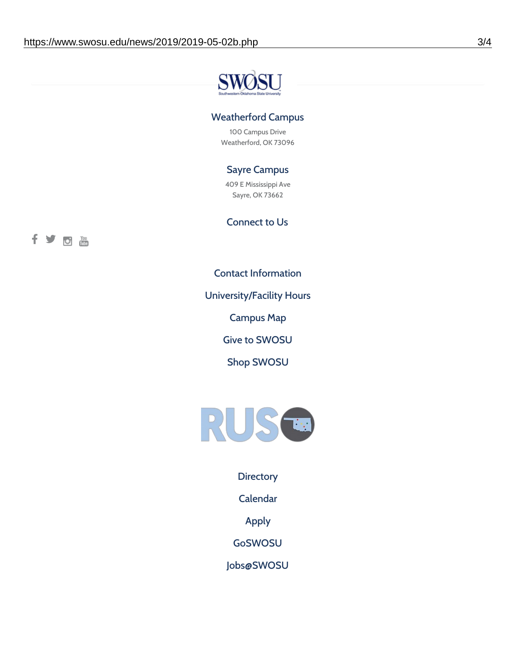

## Weatherford Campus

100 Campus Drive Weatherford, OK 73096

## Sayre Campus

409 E Mississippi Ave Sayre, OK 73662

#### Connect to Us



Contact [Information](https://www.swosu.edu/about/contact.php)

[University/Facility](https://www.swosu.edu/about/operating-hours.php) Hours

[Campus](https://map.concept3d.com/?id=768#!ct/10964,10214,10213,10212,10205,10204,10203,10202,10136,10129,10128,0,31226,10130,10201,10641,0) Map

Give to [SWOSU](https://standingfirmly.com/donate)

Shop [SWOSU](https://shopswosu.merchorders.com/)



**[Directory](https://www.swosu.edu/directory/index.php)** 

[Calendar](https://eventpublisher.dudesolutions.com/swosu/)

[Apply](https://www.swosu.edu/admissions/apply-to-swosu.php)

[GoSWOSU](https://qlsso.quicklaunchsso.com/home/1267)

[Jobs@SWOSU](https://swosu.csod.com/ux/ats/careersite/1/home?c=swosu)